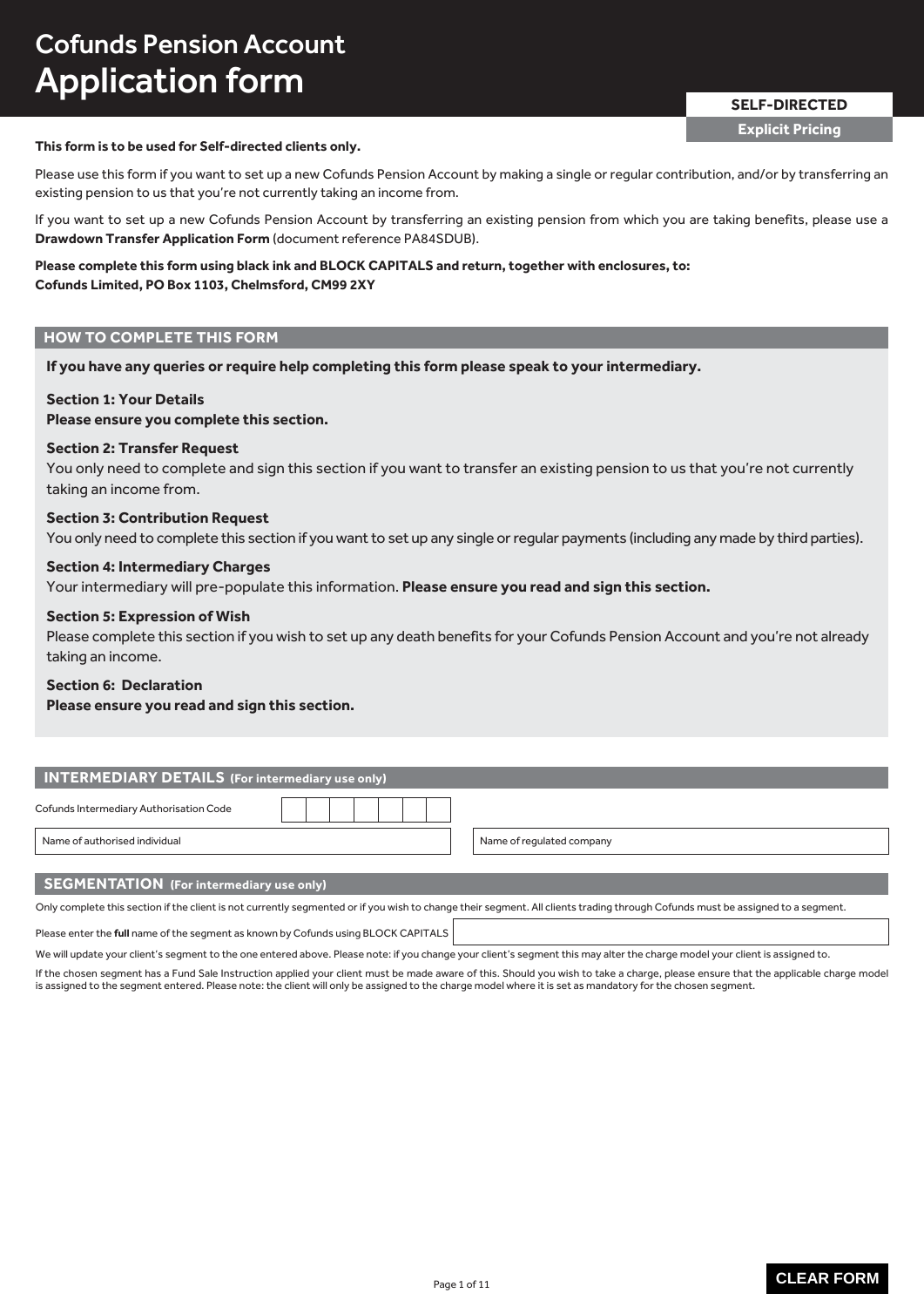# Cofunds Pension Account Application form

# **This form is to be used for Self-directed clients only.**

Please use this form if you want to set up a new Cofunds Pension Account by making a single or regular contribution, and/or by transferring an existing pension to us that you're not currently taking an income from.

If you want to set up a new Cofunds Pension Account by transferring an existing pension from which you are taking benefits, please use a **Drawdown Transfer Application Form** (document reference PA84SDUB).

### **Please complete this form using black ink and BLOCK CAPITALS and return, together with enclosures, to: Cofunds Limited, PO Box 1103, Chelmsford, CM99 2XY**

### **HOW TO COMPLETE THIS FORM**

**If you have any queries or require help completing this form please speak to your intermediary.**

### **Section 1: Your Details**

### **Please ensure you complete this section.**

### **Section 2: Transfer Request**

You only need to complete and sign this section if you want to transfer an existing pension to us that you're not currently taking an income from.

### **Section 3: Contribution Request**

You only need to complete this section if you want to set up any single or regular payments (including any made by third parties).

### **Section 4: Intermediary Charges**

Your intermediary will pre-populate this information. **Please ensure you read and sign this section.**

### **Section 5: Expression of Wish**

Please complete this section if you wish to set up any death benefits for your Cofunds Pension Account and you're not already taking an income.

### **Section 6: Declaration**

**Please ensure you read and sign this section.**

| <b>INTERMEDIARY DETAILS</b> (For intermediary use only) |  |                           |  |
|---------------------------------------------------------|--|---------------------------|--|
| Cofunds Intermediary Authorisation Code                 |  |                           |  |
| Name of authorised individual                           |  | Name of regulated company |  |
|                                                         |  |                           |  |

### **SEGMENTATION (For intermediary use only)**

Only complete this section if the client is not currently segmented or if you wish to change their segment. All clients trading through Cofunds must be assigned to a segment.

Please enter the **full** name of the segment as known by Cofunds using BLOCK CAPITALS

We will update your client's segment to the one entered above. Please note: if you change your client's segment this may alter the charge model your client is assigned to.

If the chosen segment has a Fund Sale Instruction applied your client must be made aware of this. Should you wish to take a charge, please ensure that the applicable charge model is assigned to the segment entered. Please note: the client will only be assigned to the charge model where it is set as mandatory for the chosen segment.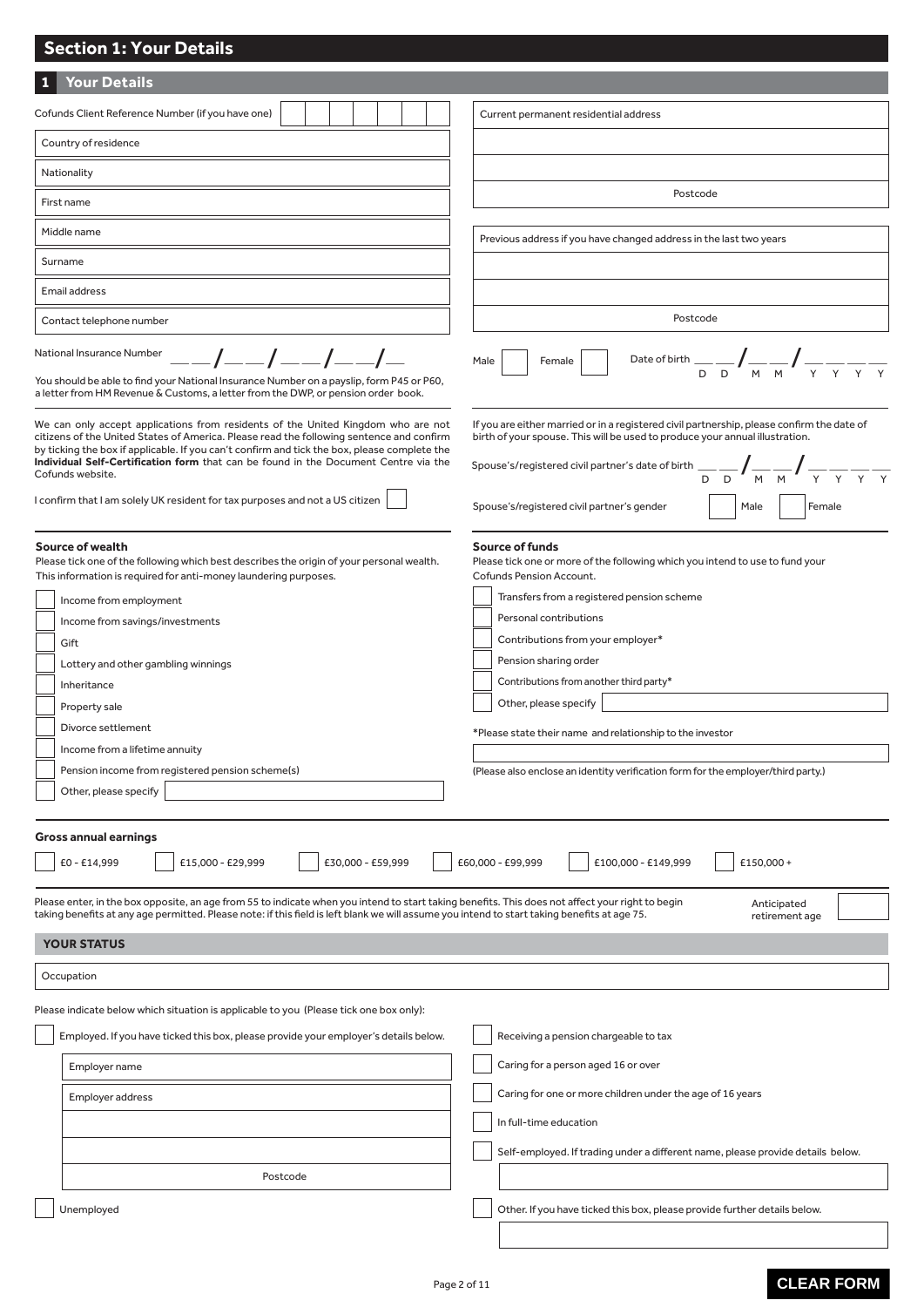#### **1 Your Details** Please enter, in the box opposite, an age from 55 to indicate when you intend to start taking benefits. This does not affect your right to begin taking benefits at any age permitted. Please note: if this field is left blank we will assume you intend to start taking benefits at age 75. Anticipated retirement age We can only accept applications from residents of the United Kingdom who are not citizens of the United States of America. Please read the following sentence and confirm by ticking the box if applicable. If you can't confirm and tick the box, please complete the **Individual Self-Certification form** that can be found in the Document Centre via the Cofunds website. I confirm that I am solely UK resident for tax purposes and not a US citizen If you are either married or in a registered civil partnership, please confirm the date of birth of your spouse. This will be used to produce your annual illustration. Spouse's/registered civil partner's date of birth  $\frac{1}{D}$   $\frac{1}{D}$   $\frac{1}{M}$   $\frac{1}{M}$   $\frac{1}{N}$   $\frac{1}{\gamma}$   $\frac{1}{\gamma}$   $\frac{1}{\gamma}$ **Gross annual earnings**  $\begin{array}{|c|c|c|c|c|c|}\n\hline\n\text{£}14,999 & & \text{£}15,000 - \text{£}29,999 & & \text{£}30,000 - \text{£}59,999 & & \text{£}60,000 - \text{£}99,999 & & \text{£}100,000 - \text{£}149,999 & & \text{£}150,000 + \text{brace}100,000 & & \text{£}100,000 - \text{brace}100,000 & & \text{£}100,000 & & \text{£}100,000 &$ **Source of wealth** Please tick one of the following which best describes the origin of your personal wealth. This information is required for anti-money laundering purposes. Income from employment Income from savings/investments Gift Lottery and other gambling winnings Inheritance Property sale Divorce settlement Income from a lifetime annuity Pension income from registered pension scheme(s) Other, please specify **Source of funds** Please tick one or more of the following which you intend to use to fund your Cofunds Pension Account. ļ Transfers from a registered pension scheme  $\overline{\phantom{a}}$  Personal contributions ļ Contributions from your employer\*  $\overline{\phantom{a}}$  Pension sharing order Contributions from another third party\* Other, please specify \*Please state their name and relationship to the investor (Please also enclose an identity verification form for the employer/third party.) Occupation Please indicate below which situation is applicable to you (Please tick one box only): **YOUR STATUS** Employer name Employed. If you have ticked this box, please provide your employer's details below. Receiving a pension chargeable to tax Caring for a person aged 16 or over Cofunds Client Reference Number (if you have one) Country of residence Nationality First name Middle name Surname Current permanent residential address Postcode Previous address if you have changed address in the last two years Postcode Male Female Date of birth  $\frac{1}{D}\sum_{D}\frac{1}{M}\frac{1}{M}\frac{1}{N}$ D D M M Y Y Y Y You should be able to find your National Insurance Number on a payslip, form P45 or P60, a letter from HM Revenue & Customs, a letter from the DWP, or pension order book. Contact telephone number Email address National Insurance Number \_\_/\_\_/\_\_/\_\_/\_ **Section 1: Your Details** Spouse's/registered civil partner's gender Male Remale

Employer address

Postcode

Unemployed

Caring for one or more children under the age of 16 years

Self-employed. If trading under a different name, please provide details below.

Other. If you have ticked this box, please provide further details below.

In full-time education

# **CLEAR FORM**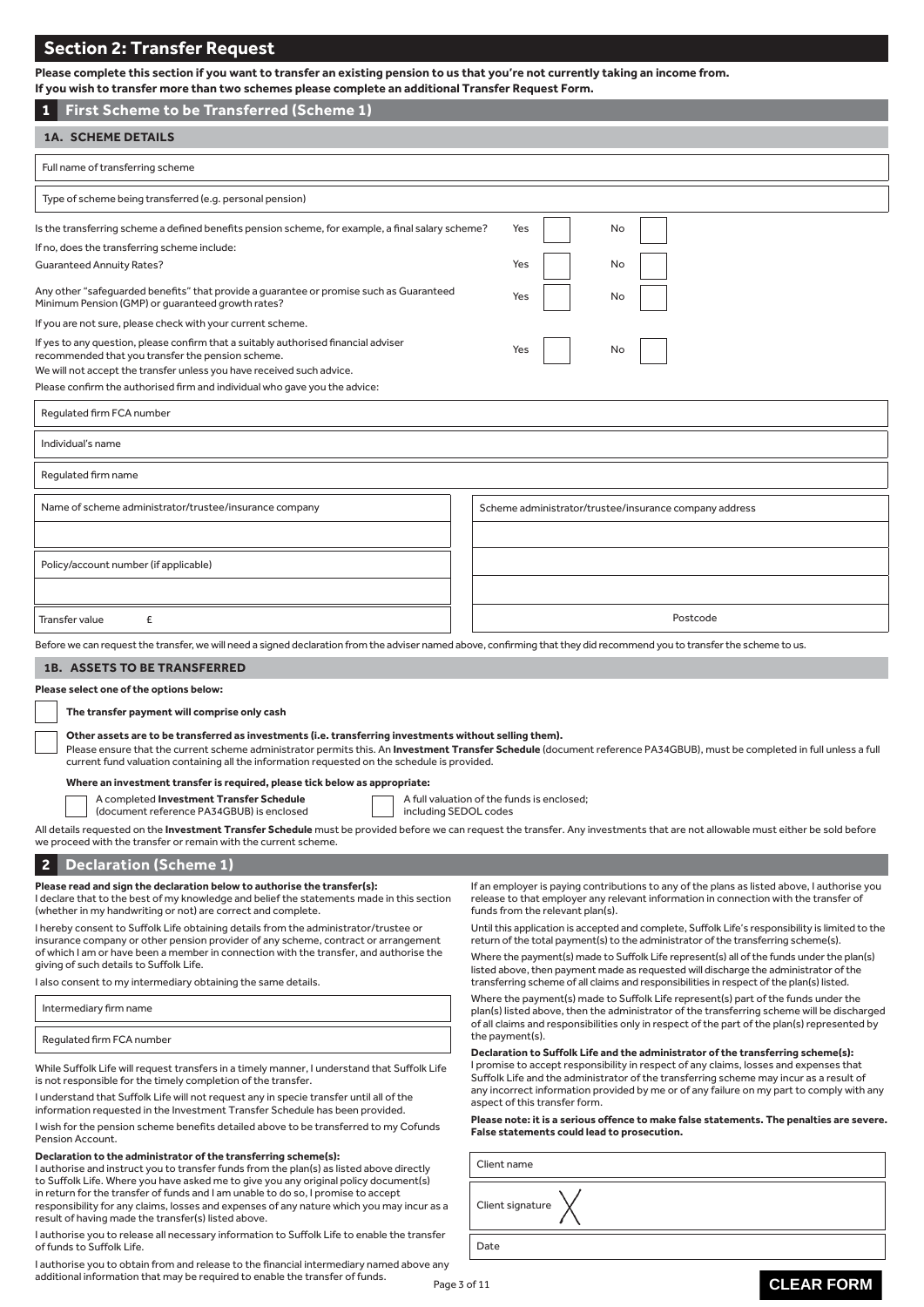# **Section 2: Transfer Request**

| <b>Section 2: Transfer Request</b>                                                                                                                                                                                                                                       |                                                        |  |  |
|--------------------------------------------------------------------------------------------------------------------------------------------------------------------------------------------------------------------------------------------------------------------------|--------------------------------------------------------|--|--|
| Please complete this section if you want to transfer an existing pension to us that you're not currently taking an income from.<br>If you wish to transfer more than two schemes please complete an additional Transfer Request Form.                                    |                                                        |  |  |
| <b>First Scheme to be Transferred (Scheme 1)</b><br>1                                                                                                                                                                                                                    |                                                        |  |  |
| <b>1A. SCHEME DETAILS</b>                                                                                                                                                                                                                                                |                                                        |  |  |
| Full name of transferring scheme                                                                                                                                                                                                                                         |                                                        |  |  |
| Type of scheme being transferred (e.g. personal pension)                                                                                                                                                                                                                 |                                                        |  |  |
| Is the transferring scheme a defined benefits pension scheme, for example, a final salary scheme?<br>If no, does the transferring scheme include:                                                                                                                        | Yes<br>No                                              |  |  |
| <b>Guaranteed Annuity Rates?</b>                                                                                                                                                                                                                                         | Yes<br>No                                              |  |  |
| Any other "safeguarded benefits" that provide a guarantee or promise such as Guaranteed<br>Minimum Pension (GMP) or guaranteed growth rates?                                                                                                                             | Yes<br>No                                              |  |  |
| If you are not sure, please check with your current scheme.                                                                                                                                                                                                              |                                                        |  |  |
| If yes to any question, please confirm that a suitably authorised financial adviser<br>recommended that you transfer the pension scheme.                                                                                                                                 | Yes<br>No                                              |  |  |
| We will not accept the transfer unless you have received such advice.<br>Please confirm the authorised firm and individual who gave you the advice:                                                                                                                      |                                                        |  |  |
| Regulated firm FCA number                                                                                                                                                                                                                                                |                                                        |  |  |
| Individual's name                                                                                                                                                                                                                                                        |                                                        |  |  |
| Regulated firm name                                                                                                                                                                                                                                                      |                                                        |  |  |
| Name of scheme administrator/trustee/insurance company                                                                                                                                                                                                                   | Scheme administrator/trustee/insurance company address |  |  |
| Policy/account number (if applicable)                                                                                                                                                                                                                                    |                                                        |  |  |
|                                                                                                                                                                                                                                                                          |                                                        |  |  |
| Postcode<br>£<br><b>Transfer value</b>                                                                                                                                                                                                                                   |                                                        |  |  |
| Before we can request the transfer, we will need a signed declaration from the adviser named above, confirming that they did recommend you to transfer the scheme to us.                                                                                                 |                                                        |  |  |
| <b>1B. ASSETS TO BE TRANSFERRED</b>                                                                                                                                                                                                                                      |                                                        |  |  |
| Please select one of the options below:                                                                                                                                                                                                                                  |                                                        |  |  |
| The transfer payment will comprise only cash                                                                                                                                                                                                                             |                                                        |  |  |
| Other assets are to be transferred as investments (i.e. transferring investments without selling them).                                                                                                                                                                  |                                                        |  |  |
| Please ensure that the current scheme administrator permits this. An Investment Transfer Schedule (document reference PA34GBUB), must be completed in full unless a full<br>current fund valuation containing all the information requested on the schedule is provided. |                                                        |  |  |
| Where an investment transfer is required, please tick below as appropriate:                                                                                                                                                                                              |                                                        |  |  |

A completed **Investment Transfer Schedule** (document reference PA34GBUB) is enclosed

A full valuation of the funds is enclosed; including SEDOL codes

All details requested on the **Investment Transfer Schedule** must be provided before we can request the transfer. Any investments that are not allowable must either be sold before we proceed with the transfer or remain with the current scheme.

### **2 Declaration (Scheme 1)**

#### **Please read and sign the declaration below to authorise the transfer(s):**

I declare that to the best of my knowledge and belief the statements made in this section (whether in my handwriting or not) are correct and complete.

I hereby consent to Suffolk Life obtaining details from the administrator/trustee or insurance company or other pension provider of any scheme, contract or arrangement of which I am or have been a member in connection with the transfer, and authorise the giving of such details to Suffolk Life.

I also consent to my intermediary obtaining the same details.

Intermediary firm name

Regulated firm FCA number

While Suffolk Life will request transfers in a timely manner, I understand that Suffolk Life is not responsible for the timely completion of the transfer.

I understand that Suffolk Life will not request any in specie transfer until all of the information requested in the Investment Transfer Schedule has been provided. I wish for the pension scheme benefits detailed above to be transferred to my Cofunds Pension Account.

#### **Declaration to the administrator of the transferring scheme(s):**

I authorise and instruct you to transfer funds from the plan(s) as listed above directly to Suffolk Life. Where you have asked me to give you any original policy document(s) in return for the transfer of funds and I am unable to do so, I promise to accept responsibility for any claims, losses and expenses of any nature which you may incur as a result of having made the transfer(s) listed above.

I authorise you to release all necessary information to Suffolk Life to enable the transfer of funds to Suffolk Life.

Page 3 of 11 I authorise you to obtain from and release to the financial intermediary named above any additional information that may be required to enable the transfer of funds.

If an employer is paying contributions to any of the plans as listed above, I authorise you release to that employer any relevant information in connection with the transfer of funds from the relevant plan(s).

Until this application is accepted and complete, Suffolk Life's responsibility is limited to the return of the total payment(s) to the administrator of the transferring scheme(s).

Where the payment(s) made to Suffolk Life represent(s) all of the funds under the plan(s) listed above, then payment made as requested will discharge the administrator of the transferring scheme of all claims and responsibilities in respect of the plan(s) listed.

Where the payment(s) made to Suffolk Life represent(s) part of the funds under the plan(s) listed above, then the administrator of the transferring scheme will be discharged of all claims and responsibilities only in respect of the part of the plan(s) represented by the payment(s).

#### **Declaration to Suffolk Life and the administrator of the transferring scheme(s):**

I promise to accept responsibility in respect of any claims, losses and expenses that Suffolk Life and the administrator of the transferring scheme may incur as a result of any incorrect information provided by me or of any failure on my part to comply with any aspect of this transfer form.

**Please note: it is a serious offence to make false statements. The penalties are severe. False statements could lead to prosecution.**

 Client name Client signature Date

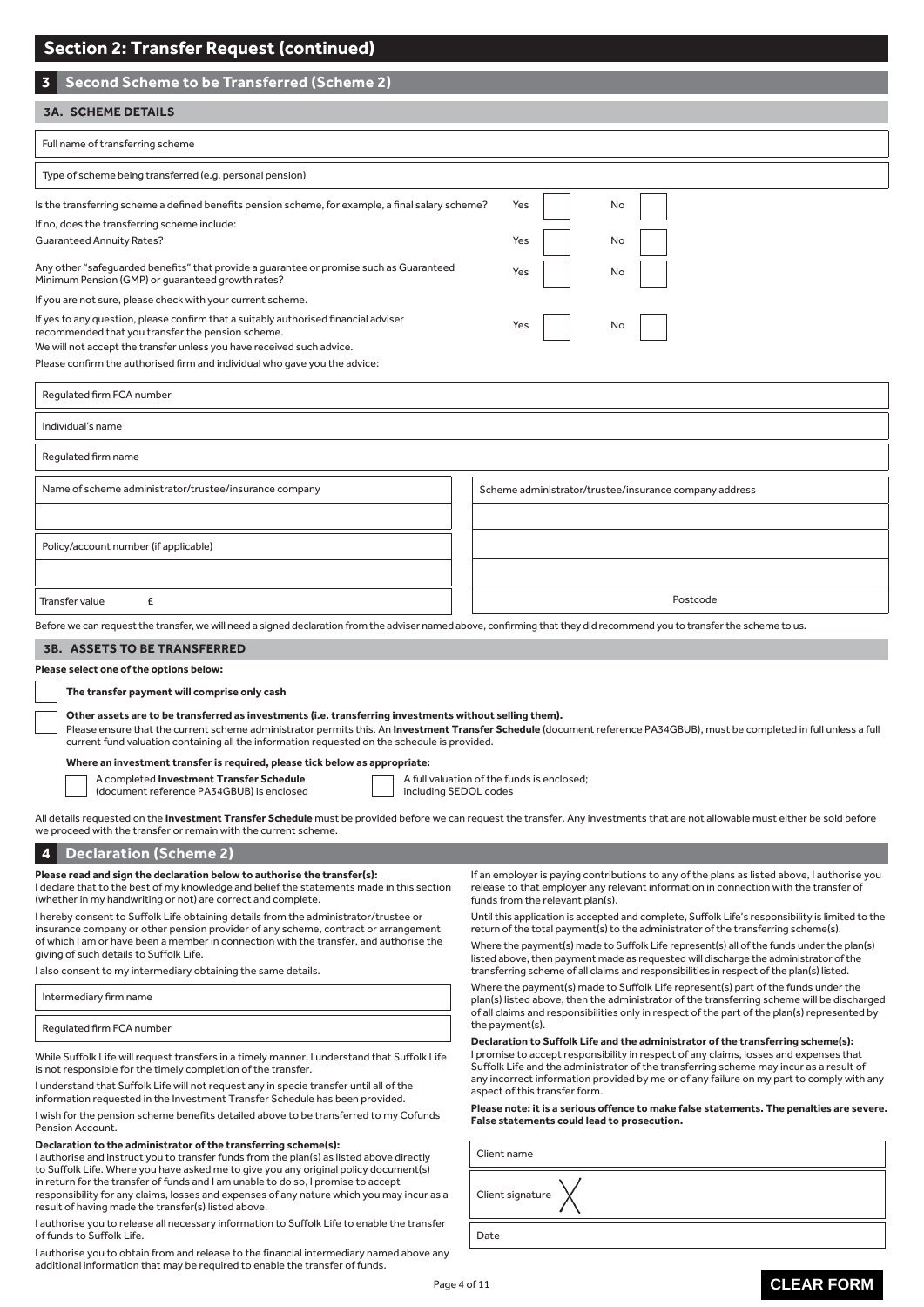| <b>Section 2: Transfer Request (continued)</b>                                                                                                                                                                                                                                                                                                                                                                                                                                                                                                                                                                                                                 |                                                                                                                                                                                                                                                                                                                                                                                                                                                                                                                                                                                                                                                                                                                                                                                                                                                                                                                                                |  |  |
|----------------------------------------------------------------------------------------------------------------------------------------------------------------------------------------------------------------------------------------------------------------------------------------------------------------------------------------------------------------------------------------------------------------------------------------------------------------------------------------------------------------------------------------------------------------------------------------------------------------------------------------------------------------|------------------------------------------------------------------------------------------------------------------------------------------------------------------------------------------------------------------------------------------------------------------------------------------------------------------------------------------------------------------------------------------------------------------------------------------------------------------------------------------------------------------------------------------------------------------------------------------------------------------------------------------------------------------------------------------------------------------------------------------------------------------------------------------------------------------------------------------------------------------------------------------------------------------------------------------------|--|--|
| <b>Second Scheme to be Transferred (Scheme 2)</b><br>3                                                                                                                                                                                                                                                                                                                                                                                                                                                                                                                                                                                                         |                                                                                                                                                                                                                                                                                                                                                                                                                                                                                                                                                                                                                                                                                                                                                                                                                                                                                                                                                |  |  |
| <b>3A. SCHEME DETAILS</b>                                                                                                                                                                                                                                                                                                                                                                                                                                                                                                                                                                                                                                      |                                                                                                                                                                                                                                                                                                                                                                                                                                                                                                                                                                                                                                                                                                                                                                                                                                                                                                                                                |  |  |
| Full name of transferring scheme                                                                                                                                                                                                                                                                                                                                                                                                                                                                                                                                                                                                                               |                                                                                                                                                                                                                                                                                                                                                                                                                                                                                                                                                                                                                                                                                                                                                                                                                                                                                                                                                |  |  |
| Type of scheme being transferred (e.g. personal pension)                                                                                                                                                                                                                                                                                                                                                                                                                                                                                                                                                                                                       |                                                                                                                                                                                                                                                                                                                                                                                                                                                                                                                                                                                                                                                                                                                                                                                                                                                                                                                                                |  |  |
| Is the transferring scheme a defined benefits pension scheme, for example, a final salary scheme?<br>If no, does the transferring scheme include:<br><b>Guaranteed Annuity Rates?</b><br>Any other "safeguarded benefits" that provide a guarantee or promise such as Guaranteed<br>Minimum Pension (GMP) or guaranteed growth rates?<br>If you are not sure, please check with your current scheme.<br>If yes to any question, please confirm that a suitably authorised financial adviser                                                                                                                                                                    | Yes<br>No<br>Yes<br>No<br>Yes<br>No                                                                                                                                                                                                                                                                                                                                                                                                                                                                                                                                                                                                                                                                                                                                                                                                                                                                                                            |  |  |
| recommended that you transfer the pension scheme.<br>We will not accept the transfer unless you have received such advice.<br>Please confirm the authorised firm and individual who gave you the advice:<br>Regulated firm FCA number                                                                                                                                                                                                                                                                                                                                                                                                                          | Yes<br>No                                                                                                                                                                                                                                                                                                                                                                                                                                                                                                                                                                                                                                                                                                                                                                                                                                                                                                                                      |  |  |
| Individual's name                                                                                                                                                                                                                                                                                                                                                                                                                                                                                                                                                                                                                                              |                                                                                                                                                                                                                                                                                                                                                                                                                                                                                                                                                                                                                                                                                                                                                                                                                                                                                                                                                |  |  |
| Regulated firm name                                                                                                                                                                                                                                                                                                                                                                                                                                                                                                                                                                                                                                            |                                                                                                                                                                                                                                                                                                                                                                                                                                                                                                                                                                                                                                                                                                                                                                                                                                                                                                                                                |  |  |
| Name of scheme administrator/trustee/insurance company                                                                                                                                                                                                                                                                                                                                                                                                                                                                                                                                                                                                         | Scheme administrator/trustee/insurance company address                                                                                                                                                                                                                                                                                                                                                                                                                                                                                                                                                                                                                                                                                                                                                                                                                                                                                         |  |  |
| Policy/account number (if applicable)                                                                                                                                                                                                                                                                                                                                                                                                                                                                                                                                                                                                                          |                                                                                                                                                                                                                                                                                                                                                                                                                                                                                                                                                                                                                                                                                                                                                                                                                                                                                                                                                |  |  |
| £<br>Transfer value                                                                                                                                                                                                                                                                                                                                                                                                                                                                                                                                                                                                                                            | Postcode                                                                                                                                                                                                                                                                                                                                                                                                                                                                                                                                                                                                                                                                                                                                                                                                                                                                                                                                       |  |  |
| Before we can request the transfer, we will need a signed declaration from the adviser named above, confirming that they did recommend you to transfer the scheme to us.                                                                                                                                                                                                                                                                                                                                                                                                                                                                                       |                                                                                                                                                                                                                                                                                                                                                                                                                                                                                                                                                                                                                                                                                                                                                                                                                                                                                                                                                |  |  |
| Please select one of the options below:<br>The transfer payment will comprise only cash<br>Other assets are to be transferred as investments (i.e. transferring investments without selling them).<br>Please ensure that the current scheme administrator permits this. An <b>Investment Transfer Schedule</b> (document reference PA34GBUB), must be completed in full unless a full<br>current fund valuation containing all the information requested on the schedule is provided.<br>Where an investment transfer is required, please tick below as appropriate:<br>A completed Investment Transfer Schedule<br>A full valuation of the funds is enclosed; |                                                                                                                                                                                                                                                                                                                                                                                                                                                                                                                                                                                                                                                                                                                                                                                                                                                                                                                                                |  |  |
| including SEDOL codes<br>(document reference PA34GBUB) is enclosed<br>All details requested on the <b>Investment Transfer Schedule</b> must be provided before we can request the transfer. Any investments that are not allowable must either be sold before<br>we proceed with the transfer or remain with the current scheme.                                                                                                                                                                                                                                                                                                                               |                                                                                                                                                                                                                                                                                                                                                                                                                                                                                                                                                                                                                                                                                                                                                                                                                                                                                                                                                |  |  |
| <b>Declaration (Scheme 2)</b><br>4<br>Please read and sign the declaration below to authorise the transfer(s):                                                                                                                                                                                                                                                                                                                                                                                                                                                                                                                                                 | If an employer is paying contributions to any of the plans as listed above, I authorise you                                                                                                                                                                                                                                                                                                                                                                                                                                                                                                                                                                                                                                                                                                                                                                                                                                                    |  |  |
| I declare that to the best of my knowledge and belief the statements made in this section<br>(whether in my handwriting or not) are correct and complete.<br>I hereby consent to Suffolk Life obtaining details from the administrator/trustee or<br>insurance company or other pension provider of any scheme, contract or arrangement<br>of which I am or have been a member in connection with the transfer, and authorise the<br>giving of such details to Suffolk Life.                                                                                                                                                                                   | release to that employer any relevant information in connection with the transfer of<br>funds from the relevant plan(s).<br>Until this application is accepted and complete, Suffolk Life's responsibility is limited to the<br>return of the total payment(s) to the administrator of the transferring scheme(s).<br>Where the payment(s) made to Suffolk Life represent(s) all of the funds under the plan(s)<br>listed above, then payment made as requested will discharge the administrator of the                                                                                                                                                                                                                                                                                                                                                                                                                                        |  |  |
| I also consent to my intermediary obtaining the same details.<br>Intermediary firm name                                                                                                                                                                                                                                                                                                                                                                                                                                                                                                                                                                        | transferring scheme of all claims and responsibilities in respect of the plan(s) listed.<br>Where the payment(s) made to Suffolk Life represent(s) part of the funds under the<br>plan(s) listed above, then the administrator of the transferring scheme will be discharged<br>of all claims and responsibilities only in respect of the part of the plan(s) represented by<br>the payment(s).<br>Declaration to Suffolk Life and the administrator of the transferring scheme(s):<br>I promise to accept responsibility in respect of any claims, losses and expenses that<br>Suffolk Life and the administrator of the transferring scheme may incur as a result of<br>any incorrect information provided by me or of any failure on my part to comply with any<br>aspect of this transfer form.<br>Please note: it is a serious offence to make false statements. The penalties are severe.<br>False statements could lead to prosecution. |  |  |
| Regulated firm FCA number                                                                                                                                                                                                                                                                                                                                                                                                                                                                                                                                                                                                                                      |                                                                                                                                                                                                                                                                                                                                                                                                                                                                                                                                                                                                                                                                                                                                                                                                                                                                                                                                                |  |  |
| While Suffolk Life will request transfers in a timely manner, I understand that Suffolk Life<br>is not responsible for the timely completion of the transfer.<br>I understand that Suffolk Life will not request any in specie transfer until all of the<br>information requested in the Investment Transfer Schedule has been provided.<br>I wish for the pension scheme benefits detailed above to be transferred to my Cofunds<br>Pension Account.                                                                                                                                                                                                          |                                                                                                                                                                                                                                                                                                                                                                                                                                                                                                                                                                                                                                                                                                                                                                                                                                                                                                                                                |  |  |
| Declaration to the administrator of the transferring scheme(s):<br>I authorise and instruct you to transfer funds from the plan(s) as listed above directly<br>to Suffolk Life. Where you have asked me to give you any original policy document(s)<br>in return for the transfer of funds and I am unable to do so, I promise to accept<br>responsibility for any claims, losses and expenses of any nature which you may incur as a<br>result of having made the transfer(s) listed above.                                                                                                                                                                   | Client name<br>Client signature                                                                                                                                                                                                                                                                                                                                                                                                                                                                                                                                                                                                                                                                                                                                                                                                                                                                                                                |  |  |
| I authorise you to release all necessary information to Suffolk Life to enable the transfer<br>of funds to Suffolk Life.<br>Lauthorise vou to obtain from and release to the financial intermediary named above any                                                                                                                                                                                                                                                                                                                                                                                                                                            | Date                                                                                                                                                                                                                                                                                                                                                                                                                                                                                                                                                                                                                                                                                                                                                                                                                                                                                                                                           |  |  |

I authorise you to obtain from and release to the financial intermediary named above any

additional information that may be required to enable the transfer of funds.

# **CLEAR FORM**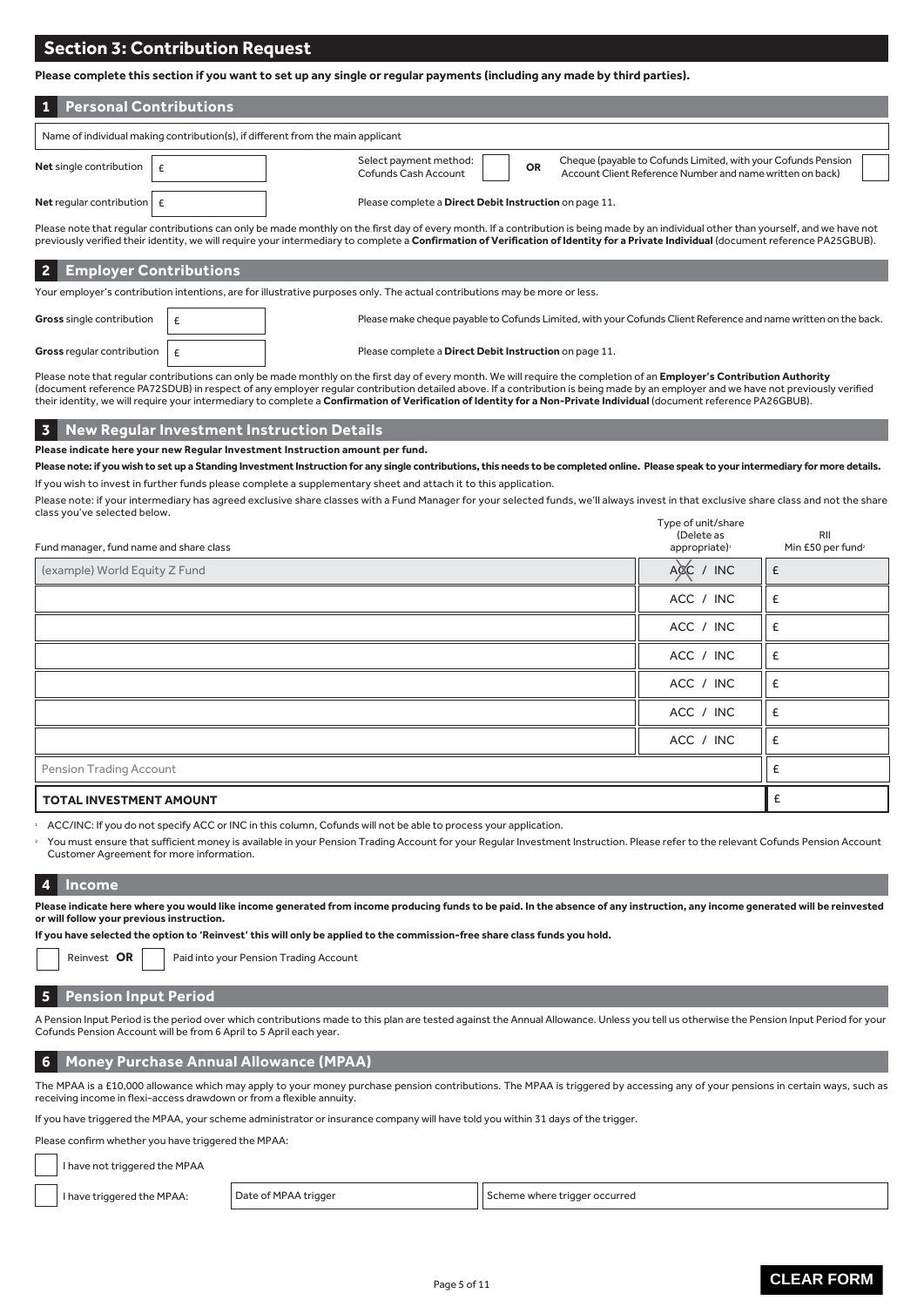# **Section 3: Contribution Request**

**Please complete this section if you want to set up any single or regular payments (including any made by third parties).**

| <b>Personal Contributions</b>                                                                                                                                                                                                                                                                                                                                                  |                                                                                                                                                                                           |  |  |
|--------------------------------------------------------------------------------------------------------------------------------------------------------------------------------------------------------------------------------------------------------------------------------------------------------------------------------------------------------------------------------|-------------------------------------------------------------------------------------------------------------------------------------------------------------------------------------------|--|--|
| Name of individual making contribution(s), if different from the main applicant                                                                                                                                                                                                                                                                                                |                                                                                                                                                                                           |  |  |
| Net single contribution                                                                                                                                                                                                                                                                                                                                                        | Cheque (payable to Cofunds Limited, with your Cofunds Pension<br>Select payment method:<br><b>OR</b><br>Account Client Reference Number and name written on back)<br>Cofunds Cash Account |  |  |
| <b>Net</b> regular contribution $\epsilon$                                                                                                                                                                                                                                                                                                                                     | Please complete a Direct Debit Instruction on page 11.                                                                                                                                    |  |  |
| Please note that reqular contributions can only be made monthly on the first day of every month. If a contribution is being made by an individual other than yourself, and we have not<br>previously verified their identity, we will require your intermediary to complete a Confirmation of Verification of Identity for a Private Individual (document reference PA25GBUB). |                                                                                                                                                                                           |  |  |
| <b>Employer Contributions</b>                                                                                                                                                                                                                                                                                                                                                  |                                                                                                                                                                                           |  |  |

| Your employer's contribution intentions, are for illustrative purposes only. The actual contributions may be more or less. |  |                                                                                                                 |  |
|----------------------------------------------------------------------------------------------------------------------------|--|-----------------------------------------------------------------------------------------------------------------|--|
| <b>Gross</b> single contribution                                                                                           |  | Please make cheque payable to Cofunds Limited, with your Cofunds Client Reference and name written on the back. |  |
| <b>Gross</b> regular contribution $\vert \mathbf{f} \vert$                                                                 |  | Please complete a <b>Direct Debit Instruction</b> on page 11.                                                   |  |

Please note that regular contributions can only be made monthly on the first day of every month. We will require the completion of an **Employer's Contribution Authority** (document reference PA72SDUB) in respect of any employer regular contribution detailed above. If a contribution is being made by an employer and we have not previously verified their identity, we will require your intermediary to complete a **Confirmation of Verification of Identity for a Non-Private Individual** (document reference PA26GBUB).

#### **3 New Regular Investment Instruction Details**

#### **Please indicate here your new Regular Investment Instruction amount per fund.**

**Please note: if you wish to set up a Standing Investment Instruction for any single contributions, this needs to be completed online. Please speak to your intermediary for more details.** If you wish to invest in further funds please complete a supplementary sheet and attach it to this application.

Please note: if your intermediary has agreed exclusive share classes with a Fund Manager for your selected funds, we'll always invest in that exclusive share class and not the share class you've selected below. Type of unit/share

| Fund manager, fund name and share class | $\sim$ .<br>(Delete as<br>appropriate) <sup>1</sup> | RII<br>Min £50 per fund <sup>2</sup> |
|-----------------------------------------|-----------------------------------------------------|--------------------------------------|
| (example) World Equity Z Fund           | $A \times C$ / INC                                  | £                                    |
|                                         | ACC / INC                                           | £                                    |
|                                         | ACC / INC                                           | £                                    |
|                                         | ACC / INC                                           | £                                    |
|                                         | ACC / INC                                           | Ι£                                   |
|                                         | ACC / INC                                           | £                                    |
|                                         | ACC / INC                                           | £                                    |
| Pension Trading Account                 |                                                     | f                                    |
| <b>TOTAL INVESTMENT AMOUNT</b>          |                                                     | $\epsilon$                           |

<sup>1</sup> ACC/INC: If you do not specify ACC or INC in this column, Cofunds will not be able to process your application.

 You must ensure that sufficient money is available in your Pension Trading Account for your Regular Investment Instruction. Please refer to the relevant Cofunds Pension Account Customer Agreement for more information.

#### **4 Income**

**Please indicate here where you would like income generated from income producing funds to be paid. In the absence of any instruction, any income generated will be reinvested or will follow your previous instruction.**

**If you have selected the option to 'Reinvest' this will only be applied to the commission-free share class funds you hold.** 

| Reinvest OR |  |
|-------------|--|
|             |  |

Paid into your Pension Trading Account

#### **5 Pension Input Period**

A Pension Input Period is the period over which contributions made to this plan are tested against the Annual Allowance. Unless you tell us otherwise the Pension Input Period for your Cofunds Pension Account will be from 6 April to 5 April each year.

#### **6 Money Purchase Annual Allowance (MPAA)**

The MPAA is a £10,000 allowance which may apply to your money purchase pension contributions. The MPAA is triggered by accessing any of your pensions in certain ways, such as receiving income in flexi-access drawdown or from a flexible annuity.

If you have triggered the MPAA, your scheme administrator or insurance company will have told you within 31 days of the trigger.

Please confirm whether you have triggered the MPAA:

I have not triggered the MPAA

I have triggered the MPAA: Date of MPAA trigger

Scheme where trigger occurred

**CLEAR FORM**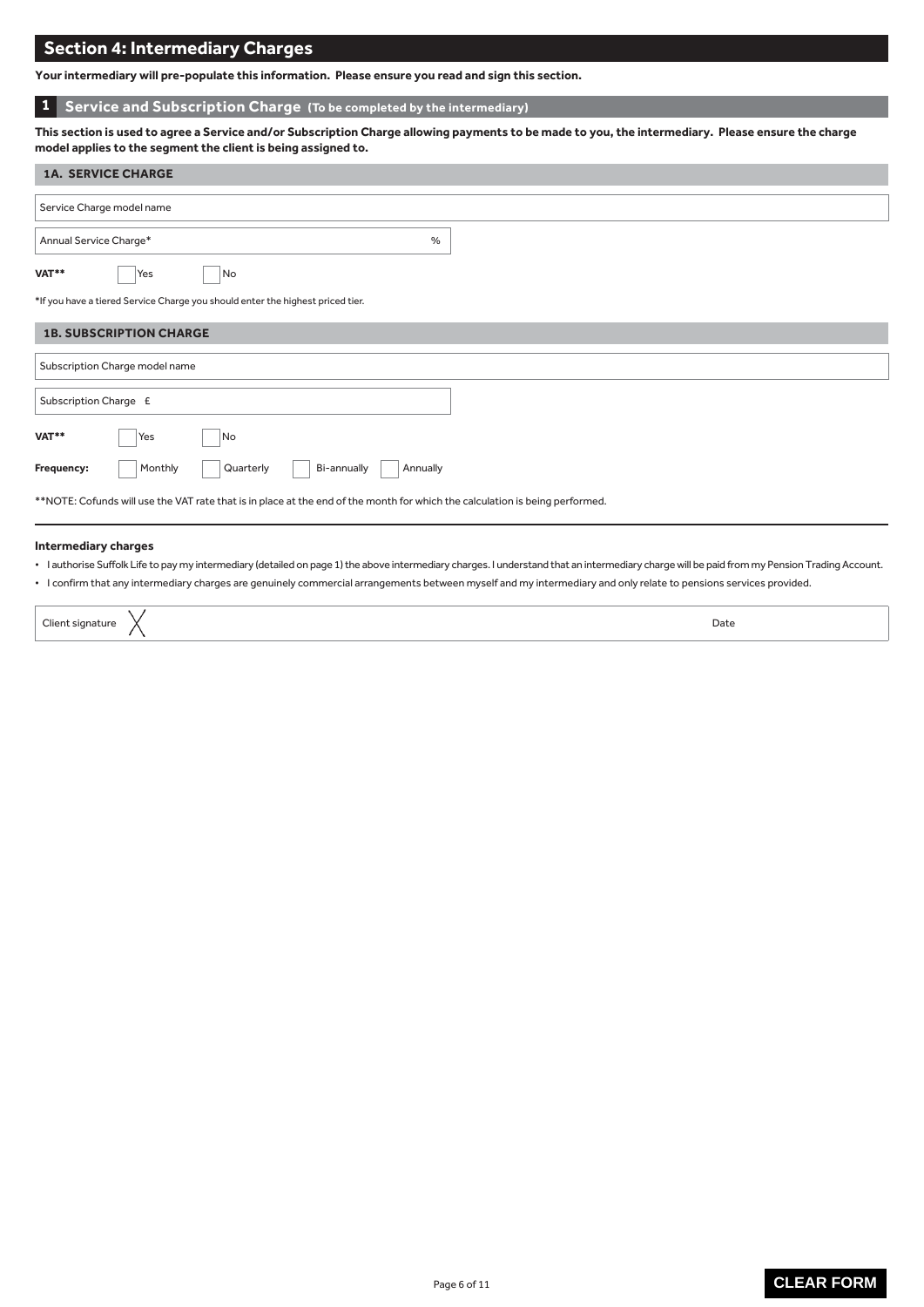# **Section 4: Intermediary Charges**

**Your intermediary will pre-populate this information. Please ensure you read and sign this section.**

# **1 Service and Subscription Charge (To be completed by the intermediary)**

**This section is used to agree a Service and/or Subscription Charge allowing payments to be made to you, the intermediary. Please ensure the charge model applies to the segment the client is being assigned to.**

| <b>1A. SERVICE CHARGE</b>                                                                                                    |  |  |  |
|------------------------------------------------------------------------------------------------------------------------------|--|--|--|
| Service Charge model name                                                                                                    |  |  |  |
| Annual Service Charge*<br>$\frac{0}{0}$                                                                                      |  |  |  |
| VAT**<br>No<br>Yes                                                                                                           |  |  |  |
| *If you have a tiered Service Charge you should enter the highest priced tier.                                               |  |  |  |
| <b>1B. SUBSCRIPTION CHARGE</b>                                                                                               |  |  |  |
| Subscription Charge model name                                                                                               |  |  |  |
| Subscription Charge £                                                                                                        |  |  |  |
| VAT**<br>No<br>Yes                                                                                                           |  |  |  |
| Monthly<br>Quarterly<br>Bi-annually<br>Frequency:<br>Annually                                                                |  |  |  |
| **NOTE: Cofunds will use the VAT rate that is in place at the end of the month for which the calculation is being performed. |  |  |  |
| <b>Intermediary charges</b>                                                                                                  |  |  |  |

• I authorise Suffolk Life to pay my intermediary (detailed on page 1) the above intermediary charges. I understand that an intermediary charge will be paid from my Pension Trading Account.

• I confirm that any intermediary charges are genuinely commercial arrangements between myself and my intermediary and only relate to pensions services provided.

| $\sim$<br>$\sim$ | Date |  |
|------------------|------|--|
|                  |      |  |

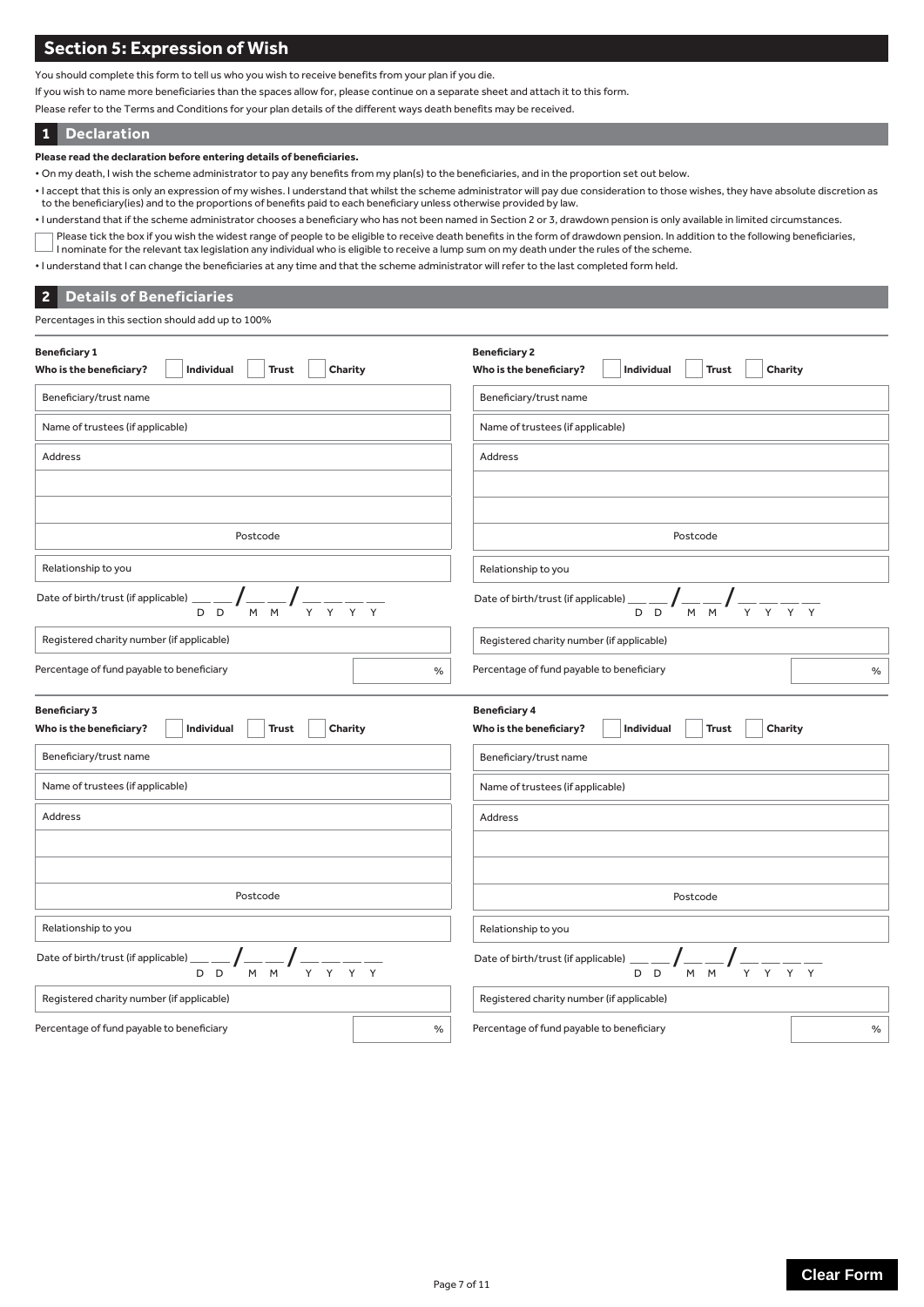# **Section 5: Expression of Wish**

You should complete this form to tell us who you wish to receive benefits from your plan if you die.

If you wish to name more beneficiaries than the spaces allow for, please continue on a separate sheet and attach it to this form.

Please refer to the Terms and Conditions for your plan details of the different ways death benefits may be received.

#### **Declaration 1**

**Please read the declaration before entering details of beneficiaries.**

- On my death, I wish the scheme administrator to pay any benefits from my plan(s) to the beneficiaries, and in the proportion set out below.
- I accept that this is only an expression of my wishes. I understand that whilst the scheme administrator will pay due consideration to those wishes, they have absolute discretion as to the beneficiary(ies) and to the proportions of benefits paid to each beneficiary unless otherwise provided by law.
- I understand that if the scheme administrator chooses a beneficiary who has not been named in Section 2 or 3, drawdown pension is only available in limited circumstances.
- Please tick the box if you wish the widest range of people to be eligible to receive death benefits in the form of drawdown pension. In addition to the following beneficiaries, I nominate for the relevant tax legislation any individual who is eligible to receive a lump sum on my death under the rules of the scheme.
- I understand that I can change the beneficiaries at any time and that the scheme administrator will refer to the last completed form held.

### **Details of Beneficiaries 2**

Percentages in this section should add up to 100%

| <b>Beneficiary 1</b><br>Charity<br>Who is the beneficiary?<br>Individual<br><b>Trust</b>                  | <b>Beneficiary 2</b><br>Who is the beneficiary?<br>Individual<br>Charity<br><b>Trust</b>                                                                                          |  |  |
|-----------------------------------------------------------------------------------------------------------|-----------------------------------------------------------------------------------------------------------------------------------------------------------------------------------|--|--|
| Beneficiary/trust name                                                                                    | Beneficiary/trust name                                                                                                                                                            |  |  |
| Name of trustees (if applicable)                                                                          | Name of trustees (if applicable)                                                                                                                                                  |  |  |
| Address                                                                                                   | <b>Address</b>                                                                                                                                                                    |  |  |
|                                                                                                           |                                                                                                                                                                                   |  |  |
|                                                                                                           |                                                                                                                                                                                   |  |  |
| Postcode                                                                                                  | Postcode                                                                                                                                                                          |  |  |
| Relationship to you                                                                                       | Relationship to you                                                                                                                                                               |  |  |
| Date of birth/trust (if applicable)<br>M M<br>D <sub>D</sub>                                              | Date of birth/trust (if applicable)<br>$\frac{1}{M}$ $\frac{1}{M}$<br>D<br>D                                                                                                      |  |  |
| Registered charity number (if applicable)                                                                 | Registered charity number (if applicable)                                                                                                                                         |  |  |
| Percentage of fund payable to beneficiary<br>$\%$                                                         | Percentage of fund payable to beneficiary<br>$\%$                                                                                                                                 |  |  |
| <b>Beneficiary 3</b><br>Who is the beneficiary?<br>Individual<br>Charity<br><b>Trust</b>                  | <b>Beneficiary 4</b><br>Who is the beneficiary?<br>Individual<br><b>Trust</b><br>Charity                                                                                          |  |  |
| Beneficiary/trust name                                                                                    | Beneficiary/trust name                                                                                                                                                            |  |  |
| Name of trustees (if applicable)                                                                          | Name of trustees (if applicable)                                                                                                                                                  |  |  |
| Address                                                                                                   | Address                                                                                                                                                                           |  |  |
|                                                                                                           |                                                                                                                                                                                   |  |  |
| Postcode                                                                                                  | Postcode                                                                                                                                                                          |  |  |
| Relationship to you                                                                                       | Relationship to you                                                                                                                                                               |  |  |
| Date of birth/trust (if applicable)<br>$\frac{1}{Y}$ $\frac{1}{Y}$ $\frac{1}{Y}$<br>M M<br>D <sub>D</sub> | Date of birth/trust (if applicable)<br>$\frac{1}{M}$ $\frac{1}{M}$ $\frac{1}{N}$<br>$\frac{1}{\gamma}$ $\frac{1}{\gamma}$ $\frac{1}{\gamma}$ $\frac{1}{\gamma}$<br>D <sub>D</sub> |  |  |
| Registered charity number (if applicable)                                                                 | Registered charity number (if applicable)                                                                                                                                         |  |  |
| Percentage of fund payable to beneficiary<br>$\%$                                                         | Percentage of fund payable to beneficiary<br>$\%$                                                                                                                                 |  |  |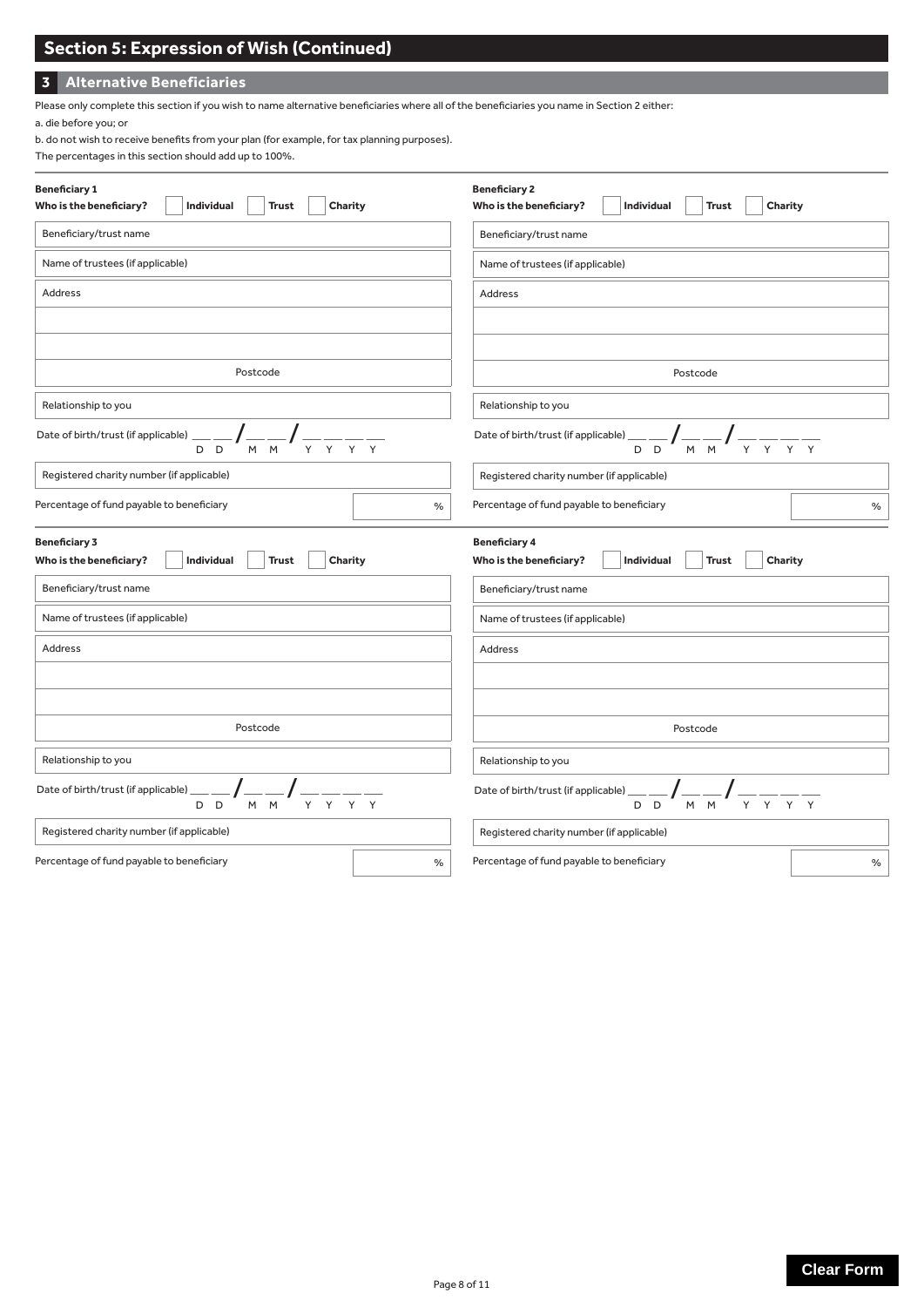# **Section 5: Expression of Wish (Continued)**

# **3 Alternative Beneficiaries**

Please only complete this section if you wish to name alternative beneficiaries where all of the beneficiaries you name in Section 2 either:

a. die before you; or

b. do not wish to receive benefits from your plan (for example, for tax planning purposes).

| The percentages in this section should add up to 100%. |  |
|--------------------------------------------------------|--|
|--------------------------------------------------------|--|

| <b>Beneficiary 1</b>                                                                     | <b>Beneficiary 2</b>                                                                     |  |
|------------------------------------------------------------------------------------------|------------------------------------------------------------------------------------------|--|
| Who is the beneficiary?<br>Individual<br><b>Trust</b><br>Charity                         | Charity<br>Who is the beneficiary?<br>Individual<br><b>Trust</b>                         |  |
| Beneficiary/trust name                                                                   | Beneficiary/trust name                                                                   |  |
| Name of trustees (if applicable)                                                         | Name of trustees (if applicable)                                                         |  |
| Address                                                                                  | Address                                                                                  |  |
|                                                                                          |                                                                                          |  |
| Postcode                                                                                 | Postcode                                                                                 |  |
| Relationship to you                                                                      | Relationship to you                                                                      |  |
| Date of birth/trust (if applicable) __<br>D<br>$\Box$                                    | Date of birth/trust (if applicable)<br>Y<br>M M<br>D<br>D                                |  |
| Registered charity number (if applicable)                                                | Registered charity number (if applicable)                                                |  |
| Percentage of fund payable to beneficiary<br>$\%$                                        | Percentage of fund payable to beneficiary<br>$\%$                                        |  |
| <b>Beneficiary 3</b><br>Who is the beneficiary?<br>Individual<br><b>Trust</b><br>Charity | <b>Beneficiary 4</b><br>Who is the beneficiary?<br>Individual<br><b>Trust</b><br>Charity |  |
| Beneficiary/trust name                                                                   | Beneficiary/trust name                                                                   |  |
| Name of trustees (if applicable)                                                         | Name of trustees (if applicable)                                                         |  |
| <b>Address</b>                                                                           | Address                                                                                  |  |
|                                                                                          |                                                                                          |  |
| Postcode                                                                                 | Postcode                                                                                 |  |
| Relationship to you                                                                      | Relationship to you                                                                      |  |
| Date of birth/trust (if applicable) _<br>M<br>Y<br>D<br>$\Box$<br>M<br>Y                 | Date of birth/trust (if applicable)<br>M<br>Y<br>Y<br>D<br>D<br>M                        |  |
| Registered charity number (if applicable)                                                | Registered charity number (if applicable)                                                |  |
| Percentage of fund payable to beneficiary<br>$\%$                                        | Percentage of fund payable to beneficiary<br>%                                           |  |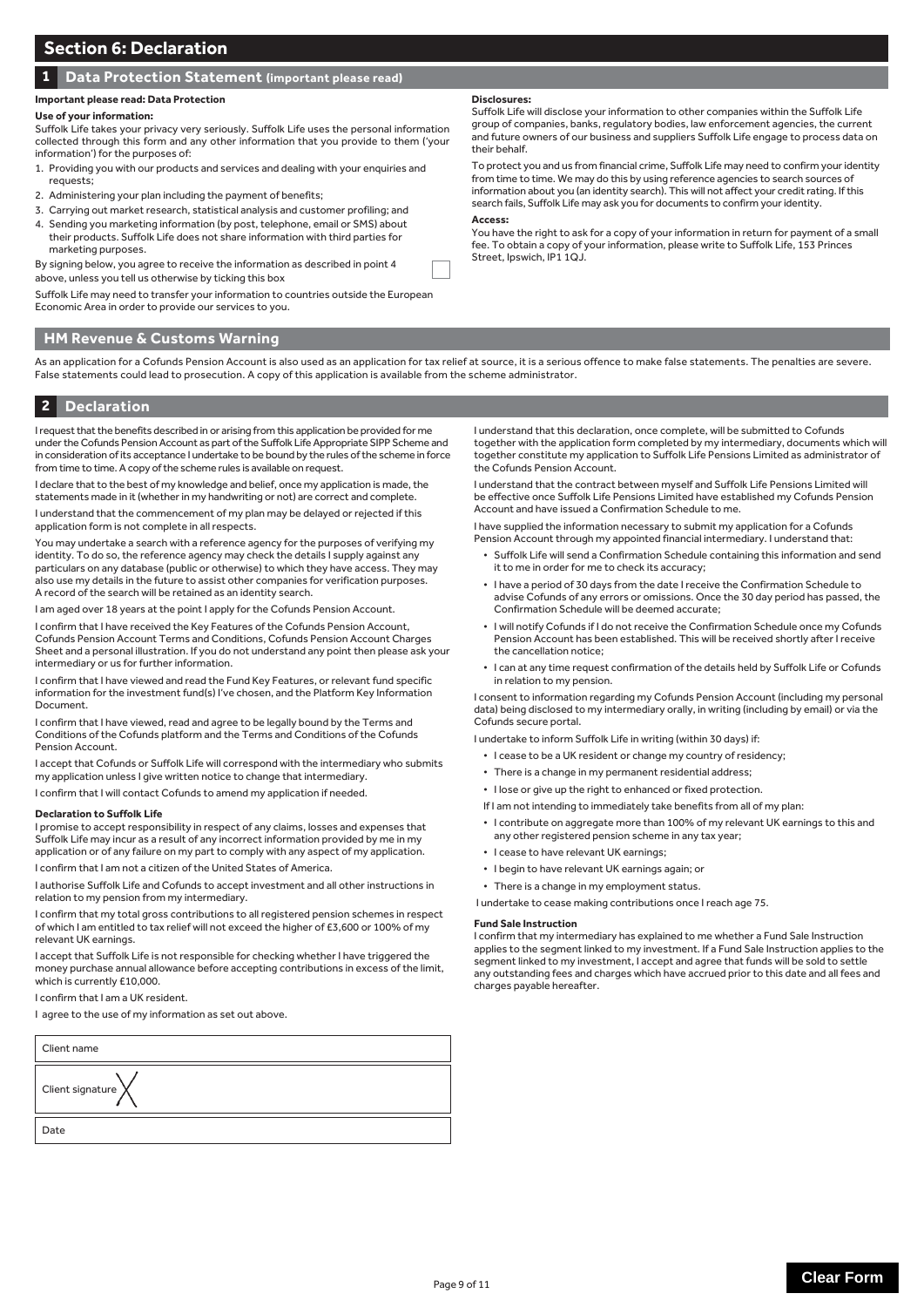# **1 Data Protection Statement (important please read)**

#### **Important please read: Data Protection**

#### **Use of your information:**

Suffolk Life takes your privacy very seriously. Suffolk Life uses the personal information collected through this form and any other information that you provide to them ('your information') for the purposes of:

- 1. Providing you with our products and services and dealing with your enquiries and requests;
- 2. Administering your plan including the payment of benefits;
- 3. Carrying out market research, statistical analysis and customer profiling; and 4. Sending you marketing information (by post, telephone, email or SMS) about their products. Suffolk Life does not share information with third parties for
- marketing purposes. By signing below, you agree to receive the information as described in point 4

above, unless you tell us otherwise by ticking this box

Suffolk Life may need to transfer your information to countries outside the European Economic Area in order to provide our services to you.

### **HM Revenue & Customs Warning**

As an application for a Cofunds Pension Account is also used as an application for tax relief at source, it is a serious offence to make false statements. The penalties are severe. False statements could lead to prosecution. A copy of this application is available from the scheme administrator.

### **2 Declaration**

I request that the benefits described in or arising from this application be provided for me under the Cofunds Pension Account as part of the Suffolk Life Appropriate SIPP Scheme and in consideration of its acceptance I undertake to be bound by the rules of the scheme in force from time to time. A copy of the scheme rules is available on request.

I declare that to the best of my knowledge and belief, once my application is made, the statements made in it (whether in my handwriting or not) are correct and complete.

I understand that the commencement of my plan may be delayed or rejected if this application form is not complete in all respects.

You may undertake a search with a reference agency for the purposes of verifying my identity. To do so, the reference agency may check the details I supply against any particulars on any database (public or otherwise) to which they have access. They may also use my details in the future to assist other companies for verification purposes. A record of the search will be retained as an identity search.

I am aged over 18 years at the point I apply for the Cofunds Pension Account.

I confirm that I have received the Key Features of the Cofunds Pension Account, Cofunds Pension Account Terms and Conditions, Cofunds Pension Account Charges Sheet and a personal illustration. If you do not understand any point then please ask your intermediary or us for further information.

I confirm that I have viewed and read the Fund Key Features, or relevant fund specific information for the investment fund(s) I've chosen, and the Platform Key Information Document.

I confirm that I have viewed, read and agree to be legally bound by the Terms and Conditions of the Cofunds platform and the Terms and Conditions of the Cofunds Pension Account.

I accept that Cofunds or Suffolk Life will correspond with the intermediary who submits my application unless I give written notice to change that intermediary.

I confirm that I will contact Cofunds to amend my application if needed.

#### **Declaration to Suffolk Life**

I promise to accept responsibility in respect of any claims, losses and expenses that Suffolk Life may incur as a result of any incorrect information provided by me in my application or of any failure on my part to comply with any aspect of my application. I confirm that I am not a citizen of the United States of America.

I authorise Suffolk Life and Cofunds to accept investment and all other instructions in relation to my pension from my intermediary.

I confirm that my total gross contributions to all registered pension schemes in respect of which I am entitled to tax relief will not exceed the higher of £3,600 or 100% of my relevant UK earnings.

I accept that Suffolk Life is not responsible for checking whether I have triggered the money purchase annual allowance before accepting contributions in excess of the limit, which is currently £10,000.

I confirm that I am a UK resident.

I agree to the use of my information as set out above.

| Client name                  |
|------------------------------|
| Client signature $\bigtimes$ |
| Date                         |
|                              |

#### **Disclosures:**

Suffolk Life will disclose your information to other companies within the Suffolk Life group of companies, banks, regulatory bodies, law enforcement agencies, the current and future owners of our business and suppliers Suffolk Life engage to process data on their behalf.

To protect you and us from financial crime, Suffolk Life may need to confirm your identity from time to time. We may do this by using reference agencies to search sources of information about you (an identity search). This will not affect your credit rating. If this search fails, Suffolk Life may ask you for documents to confirm your identity.

#### **Access:**

You have the right to ask for a copy of your information in return for payment of a small fee. To obtain a copy of your information, please write to Suffolk Life, 153 Princes Street, Ipswich, IP1 1QJ.

I understand that this declaration, once complete, will be submitted to Cofunds together with the application form completed by my intermediary, documents which will together constitute my application to Suffolk Life Pensions Limited as administrator of the Cofunds Pension Account.

I understand that the contract between myself and Suffolk Life Pensions Limited will be effective once Suffolk Life Pensions Limited have established my Cofunds Pension Account and have issued a Confirmation Schedule to me.

I have supplied the information necessary to submit my application for a Cofunds Pension Account through my appointed financial intermediary. I understand that:

- Suffolk Life will send a Confirmation Schedule containing this information and send it to me in order for me to check its accuracy;
- I have a period of 30 days from the date I receive the Confirmation Schedule to advise Cofunds of any errors or omissions. Once the 30 day period has passed, the Confirmation Schedule will be deemed accurate;
- I will notify Cofunds if I do not receive the Confirmation Schedule once my Cofunds Pension Account has been established. This will be received shortly after I receive the cancellation notice;
- I can at any time request confirmation of the details held by Suffolk Life or Cofunds in relation to my pension.

I consent to information regarding my Cofunds Pension Account (including my personal data) being disclosed to my intermediary orally, in writing (including by email) or via the Cofunds secure portal.

I undertake to inform Suffolk Life in writing (within 30 days) if:

- I cease to be a UK resident or change my country of residency;
- There is a change in my permanent residential address;
- I lose or give up the right to enhanced or fixed protection.
- If I am not intending to immediately take benefits from all of my plan:
- I contribute on aggregate more than 100% of my relevant UK earnings to this and any other registered pension scheme in any tax year;
- I cease to have relevant UK earnings;
- I begin to have relevant UK earnings again; or
- There is a change in my employment status.

I undertake to cease making contributions once I reach age 75.

#### **Fund Sale Instruction**

I confirm that my intermediary has explained to me whether a Fund Sale Instruction applies to the segment linked to my investment. If a Fund Sale Instruction applies to the segment linked to my investment, I accept and agree that funds will be sold to settle any outstanding fees and charges which have accrued prior to this date and all fees and charges payable hereafter.